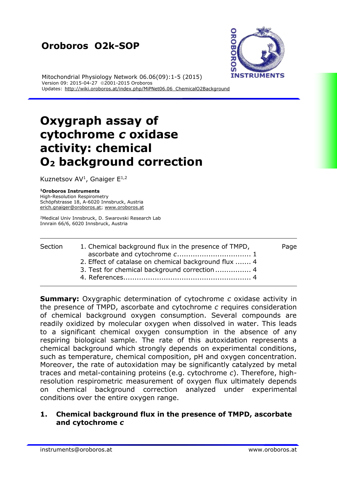## **Oroboros O2k-SOP**



Mitochondrial Physiology Network 06.06(09):1-5 (2015) Version 09: 2015-04-27 ©2001-2015 Oroboros Updates: http://wiki.oroboros.at/index.php/MiPNet06.06 ChemicalO2Background

# **Oxygraph assay of cytochrome** *c* **oxidase activity: chemical O<sup>2</sup> background correction**

Kuznetsov AV<sup>1</sup>, Gnaiger  $E^{1,2}$ 

#### **<sup>1</sup>Oroboros Instruments**

High-Resolution Respirometry Schöpfstrasse 18, A-6020 Innsbruck, Austria [erich.gnaiger@oroboros.at;](mailto:erich.gnaiger@oroboros.at) [www.oroboros.at](http://www.oroboros.at/)

<sup>2</sup>Medical Univ Innsbruck, D. Swarovski Research Lab Innrain 66/6, 6020 Innsbruck, Austria

#### Section [1.](#page-0-0) Chemical background flux in the presence of TMPD, Page ascorbate and cytochrome *c*................................. [1](#page-0-0) [2.](#page-3-0) Effect of catalase on chemical background flux ....... [4](#page-3-0) [3.](#page-3-1) Test for chemical background correction................ [4](#page-3-1) [4.](#page-3-2) References......................................................... [4](#page-3-2)

**Summary:** Oxygraphic determination of cytochrome *c* oxidase activity in the presence of TMPD, ascorbate and cytochrome *c* requires consideration of chemical background oxygen consumption. Several compounds are readily oxidized by molecular oxygen when dissolved in water. This leads to a significant chemical oxygen consumption in the absence of any respiring biological sample. The rate of this autoxidation represents a chemical background which strongly depends on experimental conditions, such as temperature, chemical composition, pH and oxygen concentration. Moreover, the rate of autoxidation may be significantly catalyzed by metal traces and metal-containing proteins (e.g. cytochrome *c*). Therefore, highresolution respirometric measurement of oxygen flux ultimately depends on chemical background correction analyzed under experimental conditions over the entire oxygen range.

### <span id="page-0-0"></span>**1. Chemical background flux in the presence of TMPD, ascorbate and cytochrome** *c*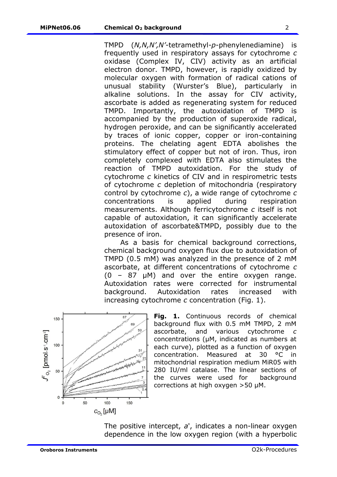TMPD (*N,N,N',N'*-tetramethyl-*p*-phenylenediamine) is frequently used in respiratory assays for cytochrome *c* oxidase (Complex IV, CIV) activity as an artificial electron donor. TMPD, however, is rapidly oxidized by molecular oxygen with formation of radical cations of unusual stability (Wurster's Blue), particularly in alkaline solutions. In the assay for CIV activity, ascorbate is added as regenerating system for reduced TMPD. Importantly, the autoxidation of TMPD is accompanied by the production of superoxide radical, hydrogen peroxide, and can be significantly accelerated by traces of ionic copper, copper or iron-containing proteins. The chelating agent EDTA abolishes the stimulatory effect of copper but not of iron. Thus, iron completely complexed with EDTA also stimulates the reaction of TMPD autoxidation. For the study of cytochrome *c* kinetics of CIV and in respirometric tests of cytochrome *c* depletion of mitochondria (respiratory control by cytochrome *c*), a wide range of cytochrome *c* concentrations is applied during respiration measurements. Although ferricytochrome *c* itself is not capable of autoxidation, it can significantly accelerate autoxidation of ascorbate&TMPD, possibly due to the presence of iron.

As a basis for chemical background corrections, chemical background oxygen flux due to autoxidation of TMPD (0.5 mM) was analyzed in the presence of 2 mM ascorbate, at different concentrations of cytochrome *c*  $(0 - 87 \mu M)$  and over the entire oxygen range. Autoxidation rates were corrected for instrumental background. Autoxidation rates increased with increasing cytochrome *c* concentration (Fig. 1).



**Fig. 1.** Continuous records of chemical background flux with 0.5 mM TMPD, 2 mM ascorbate, and various cytochrome *c* concentrations (µM, indicated as numbers at each curve), plotted as a function of oxygen concentration. Measured at 30 °C in mitochondrial respiration medium MiR05 with 280 IU/ml catalase. The linear sections of the curves were used for background corrections at high oxygen >50 µM.

The positive intercept, *a*', indicates a non-linear oxygen dependence in the low oxygen region (with a hyperbolic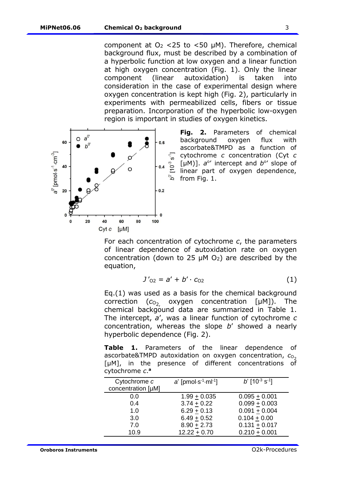component at  $O<sub>2</sub> < 25$  to  $< 50$  µM). Therefore, chemical background flux, must be described by a combination of a hyperbolic function at low oxygen and a linear function at high oxygen concentration (Fig. 1). Only the linear component (linear autoxidation) is taken consideration in the case of experimental design where oxygen concentration is kept high (Fig. 2), particularly in experiments with permeabilized cells, fibers or tissue preparation. Incorporation of the hyperbolic low-oxygen region is important in studies of oxygen kinetics.



**Fig. 2.** Parameters of chemical background oxygen flux with ascorbate&TMPD as a function of cytochrome *c* concentration (Cyt *c* [ $\mu$ M)].  $a^{\circ}$  intercept and  $b^{\circ}$  slope of linear part of oxygen dependence, from Fig. 1.

For each concentration of cytochrome *c*, the parameters of linear dependence of autoxidation rate on oxygen concentration (down to 25  $\mu$ M O<sub>2</sub>) are described by the equation,

$$
J'_{02} = a' + b' \cdot c_{02} \tag{1}
$$

Eq.(1) was used as a basis for the chemical background correction ( $c_{O_2}$  oxygen concentration [ $\mu$ M]). The chemical backgound data are summarized in Table 1. The intercept, *a*', was a linear function of cytochrome *c* concentration, whereas the slope *b*' showed a nearly hyperbolic dependence (Fig. 2).

**Table 1.** Parameters of the linear dependence of ascorbate&TMPD autoxidation on oxygen concentration,  $c_{0}$ [µM], in the presence of different concentrations of cytochrome *c*. **[a](#page-3-3)**

| Cytochrome c       | $a'$ [pmol $\cdot$ s <sup>-1</sup> $\cdot$ ml <sup>-1</sup> ] | $b'$ [10 <sup>-3</sup> s <sup>-1</sup> ] |
|--------------------|---------------------------------------------------------------|------------------------------------------|
| concentration [µM] |                                                               |                                          |
| 0.0                | $1.99 + 0.035$                                                | $0.095 + 0.001$                          |
| 0.4                | $3.74 + 0.22$                                                 | $0.099 + 0.003$                          |
| 1.0                | $6.29 + 0.13$                                                 | $0.091 + 0.004$                          |
| 3.0                | $6.49 + 0.52$                                                 | $0.104 + 0.00$                           |
| 7.0                | $8.90 + 2.73$                                                 | $0.131 + 0.017$                          |
| 10.9               | $12.22 + 0.70$                                                | $0.210 + 0.001$                          |
|                    |                                                               |                                          |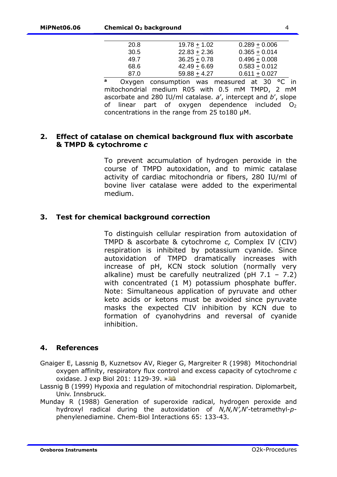| 20.8 | $19.78 + 1.02$ | $0.289 + 0.006$ |
|------|----------------|-----------------|
| 30.5 | $22.83 + 2.36$ | $0.365 + 0.014$ |
| 49.7 | $36.25 + 0.78$ | $0.496 + 0.008$ |
| 68.6 | $42.49 + 6.69$ | $0.583 + 0.012$ |
| 87.0 | $59.88 + 4.27$ | $0.611 + 0.027$ |

**<sup>a</sup>** Oxygen consumption was measured at 30 °C in mitochondrial medium R05 with 0.5 mM TMPD, 2 mM ascorbate and 280 IU/ml catalase*. a*', intercept and *b*', slope of linear part of oxygen dependence included  $O_2$ concentrations in the range from 25 to180 µM.

#### <span id="page-3-3"></span><span id="page-3-0"></span>**2. Effect of catalase on chemical background flux with ascorbate & TMPD & cytochrome** *c*

To prevent accumulation of hydrogen peroxide in the course of TMPD autoxidation, and to mimic catalase activity of cardiac mitochondria or fibers, 280 IU/ml of bovine liver catalase were added to the experimental medium.

#### <span id="page-3-1"></span>**3. Test for chemical background correction**

To distinguish cellular respiration from autoxidation of TMPD & ascorbate & cytochrome *c,* Complex IV (CIV) respiration is inhibited by potassium cyanide. Since autoxidation of TMPD dramatically increases with increase of pH, KCN stock solution (normally very alkaline) must be carefully neutralized (pH  $7.1 - 7.2$ ) with concentrated (1 M) potassium phosphate buffer. Note: Simultaneous application of pyruvate and other keto acids or ketons must be avoided since pyruvate masks the expected CIV inhibition by KCN due to formation of cyanohydrins and reversal of cyanide inhibition.

#### <span id="page-3-2"></span>**4. References**

Gnaiger E, Lassnig B, Kuznetsov AV, Rieger G, Margreiter R (1998) Mitochondrial oxygen affinity, respiratory flux control and excess capacity of cytochrome *c* oxidase. J exp Biol 201: 1129-39. [»](http://www.bioblast.at/index.php/Gnaiger_1998_J_Exp_Biol)

- Lassnig B (1999) Hypoxia and regulation of mitochondrial respiration. Diplomarbeit, Univ. Innsbruck.
- Munday R (1988) Generation of superoxide radical, hydrogen peroxide and hydroxyl radical during the autoxidation of *N,N,N',N*'-tetramethyl-*p*phenylenediamine. Chem-Biol Interactions 65: 133-43.